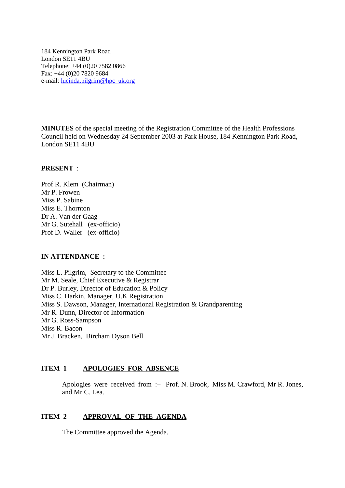184 Kennington Park Road London SE11 4BU Telephone: +44 (0)20 7582 0866 Fax: +44 (0)20 7820 9684 e-mail: lucinda.pilgrim@hpc–uk.org

**MINUTES** of the special meeting of the Registration Committee of the Health Professions Council held on Wednesday 24 September 2003 at Park House, 184 Kennington Park Road, London SE11 4BU

## **PRESENT** :

Prof R. Klem (Chairman) Mr P. Frowen Miss P. Sabine Miss E. Thornton Dr A. Van der Gaag Mr G. Sutehall (ex-officio) Prof D. Waller (ex-officio)

## **IN ATTENDANCE :**

Miss L. Pilgrim, Secretary to the Committee Mr M. Seale, Chief Executive & Registrar Dr P. Burley, Director of Education & Policy Miss C. Harkin, Manager, U.K Registration Miss S. Dawson, Manager, International Registration & Grandparenting Mr R. Dunn, Director of Information Mr G. Ross-Sampson Miss R. Bacon Mr J. Bracken, Bircham Dyson Bell

## **ITEM 1 APOLOGIES FOR ABSENCE**

Apologies were received from :– Prof. N. Brook, Miss M. Crawford, Mr R. Jones, and Mr C. Lea.

## **ITEM 2 APPROVAL OF THE AGENDA**

The Committee approved the Agenda.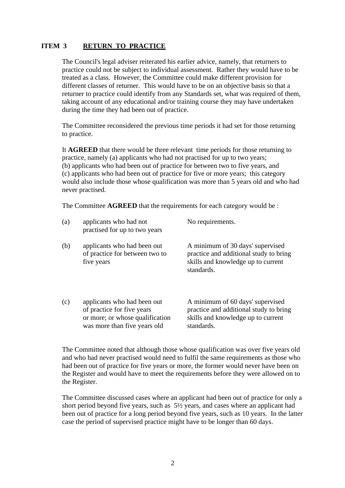# **ITEM 3 RETURN TO PRACTICE**

The Council's legal adviser reiterated his earlier advice, namely, that returners to practice could not be subject to individual assessment. Rather they would have to be treated as a class. However, the Committee could make different provision for different classes of returner. This would have to be on an objective basis so that a returner to practice could identify from any Standards set, what was required of them, taking account of any educational and/or training course they may have undertaken during the time they had been out of practice.

The Committee reconsidered the previous time periods it had set for those returning to practice.

It **AGREED** that there would be three relevant time periods for those returning to practice, namely (a) applicants who had not practised for up to two years; (b) applicants who had been out of practice for between two to five years, and (c) applicants who had been out of practice for five or more years; this category would also include those whose qualification was more than 5 years old and who had never practised.

The Committee **AGREED** that the requirements for each category would be :

| (a) | applicants who had not<br>practised for up to two years                                                                      | No requirements.                                                                                                               |
|-----|------------------------------------------------------------------------------------------------------------------------------|--------------------------------------------------------------------------------------------------------------------------------|
| (b) | applicants who had been out<br>of practice for between two to<br>five years                                                  | A minimum of 30 days' supervised<br>practice and additional study to bring<br>skills and knowledge up to current<br>standards. |
| (c) | applicants who had been out<br>of practice for five years<br>or more; or whose qualification<br>was more than five years old | A minimum of 60 days' supervised<br>practice and additional study to bring<br>skills and knowledge up to current<br>standards. |

The Committee noted that although those whose qualification was over five years old and who had never practised would need to fulfil the same requirements as those who had been out of practice for five years or more, the former would never have been on the Register and would have to meet the requirements before they were allowed on to the Register.

The Committee discussed cases where an applicant had been out of practice for only a short period beyond five years, such as 5½ years, and cases where an applicant had been out of practice for a long period beyond five years, such as 10 years. In the latter case the period of supervised practice might have to be longer than 60 days.